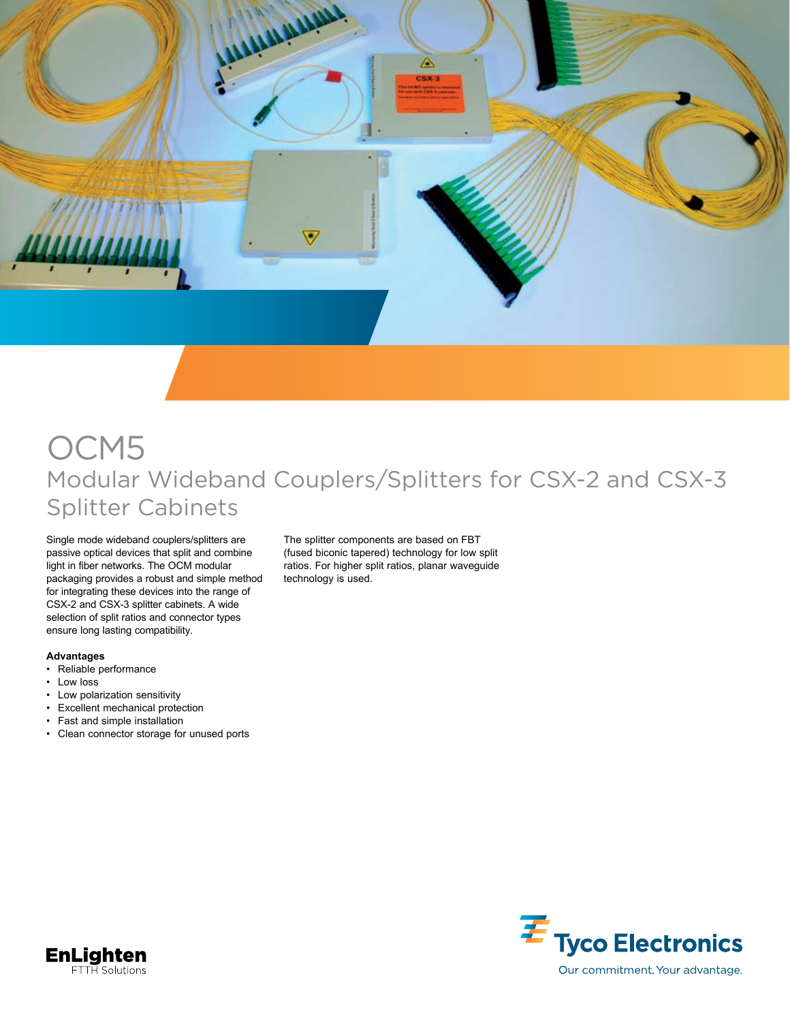

## OCM5 Modular Wideband Couplers/Splitters for CSX-2 and CSX-3 Splitter Cabinets

Single mode wideband couplers/splitters are passive optical devices that split and combine light in fiber networks. The OCM modular packaging provides a robust and simple method for integrating these devices into the range of CSX-2 and CSX-3 splitter cabinets. A wide selection of split ratios and connector types ensure long lasting compatibility.

## **Advantages**

- • Reliable performance
- Low loss
- • Low polarization sensitivity
- • Excellent mechanical protection
- • Fast and simple installation
- • Clean connector storage for unused ports

The splitter components are based on FBT (fused biconic tapered) technology for low split ratios. For higher split ratios, planar waveguide technology is used.